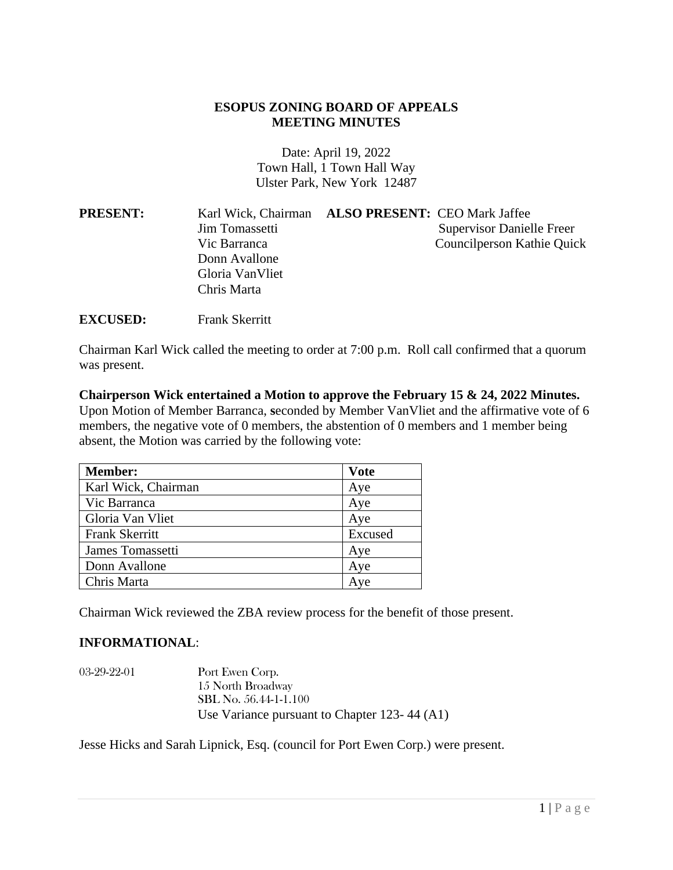## **ESOPUS ZONING BOARD OF APPEALS MEETING MINUTES**

Date: April 19, 2022 Town Hall, 1 Town Hall Way Ulster Park, New York 12487

| <b>PRESENT:</b> | Karl Wick, Chairman ALSO PRESENT: CEO Mark Jaffee |                                  |
|-----------------|---------------------------------------------------|----------------------------------|
|                 | Jim Tomassetti                                    | <b>Supervisor Danielle Freer</b> |
|                 | Vic Barranca                                      | Councilperson Kathie Quick       |
|                 | Donn Avallone                                     |                                  |
|                 | Gloria Van Vliet                                  |                                  |
|                 | Chris Marta                                       |                                  |

**EXCUSED:** Frank Skerritt

Chairman Karl Wick called the meeting to order at 7:00 p.m. Roll call confirmed that a quorum was present.

**Chairperson Wick entertained a Motion to approve the February 15 & 24, 2022 Minutes.**  Upon Motion of Member Barranca, **s**econded by Member VanVliet and the affirmative vote of 6 members, the negative vote of 0 members, the abstention of 0 members and 1 member being absent, the Motion was carried by the following vote:

| <b>Member:</b>        | <b>Vote</b> |
|-----------------------|-------------|
| Karl Wick, Chairman   | Aye         |
| Vic Barranca          | Aye         |
| Gloria Van Vliet      | Aye         |
| <b>Frank Skerritt</b> | Excused     |
| James Tomassetti      | Aye         |
| Donn Avallone         | Aye         |
| Chris Marta           | Ave         |

Chairman Wick reviewed the ZBA review process for the benefit of those present.

## **INFORMATIONAL**:

| $03-29-22-01$ | Port Ewen Corp.                              |
|---------------|----------------------------------------------|
|               | 15 North Broadway                            |
|               | SBL No. 56.44-1-1.100                        |
|               | Use Variance pursuant to Chapter 123-44 (A1) |

Jesse Hicks and Sarah Lipnick, Esq. (council for Port Ewen Corp.) were present.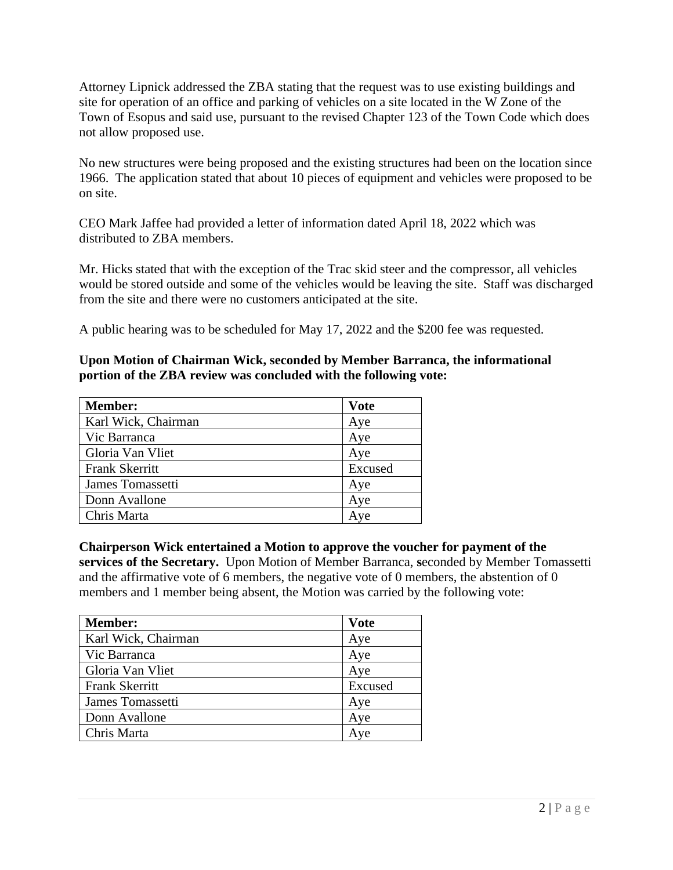Attorney Lipnick addressed the ZBA stating that the request was to use existing buildings and site for operation of an office and parking of vehicles on a site located in the W Zone of the Town of Esopus and said use, pursuant to the revised Chapter 123 of the Town Code which does not allow proposed use.

No new structures were being proposed and the existing structures had been on the location since 1966. The application stated that about 10 pieces of equipment and vehicles were proposed to be on site.

CEO Mark Jaffee had provided a letter of information dated April 18, 2022 which was distributed to ZBA members.

Mr. Hicks stated that with the exception of the Trac skid steer and the compressor, all vehicles would be stored outside and some of the vehicles would be leaving the site. Staff was discharged from the site and there were no customers anticipated at the site.

A public hearing was to be scheduled for May 17, 2022 and the \$200 fee was requested.

## **Upon Motion of Chairman Wick, seconded by Member Barranca, the informational portion of the ZBA review was concluded with the following vote:**

| <b>Member:</b>        | <b>Vote</b> |
|-----------------------|-------------|
| Karl Wick, Chairman   | Aye         |
| Vic Barranca          | Aye         |
| Gloria Van Vliet      | Aye         |
| <b>Frank Skerritt</b> | Excused     |
| James Tomassetti      | Aye         |
| Donn Avallone         | Aye         |
| Chris Marta           | Ave         |

## **Chairperson Wick entertained a Motion to approve the voucher for payment of the**

**services of the Secretary.** Upon Motion of Member Barranca, **s**econded by Member Tomassetti and the affirmative vote of 6 members, the negative vote of 0 members, the abstention of 0 members and 1 member being absent, the Motion was carried by the following vote:

| <b>Member:</b>        | <b>Vote</b> |
|-----------------------|-------------|
| Karl Wick, Chairman   | Aye         |
| Vic Barranca          | Aye         |
| Gloria Van Vliet      | Aye         |
| <b>Frank Skerritt</b> | Excused     |
| James Tomassetti      | Aye         |
| Donn Avallone         | Aye         |
| Chris Marta           | Ave         |